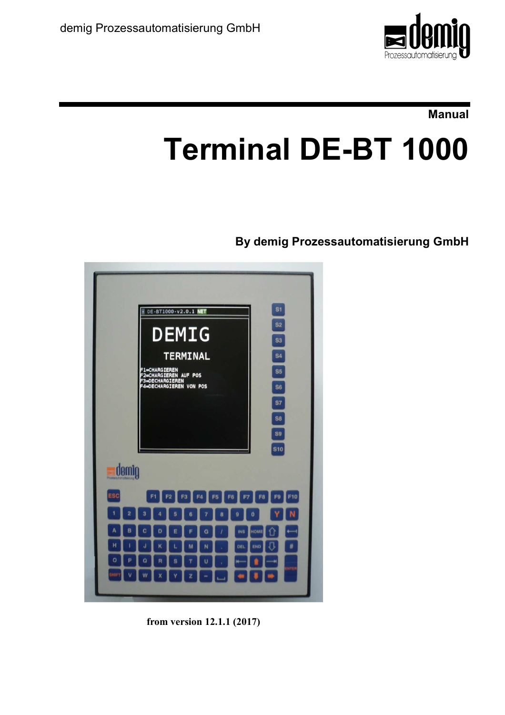

**Manual** 

# **Terminal DE-BT 1000**

**By demig Prozessautomatisierung GmbH** 



**from version 12.1.1 (2017)**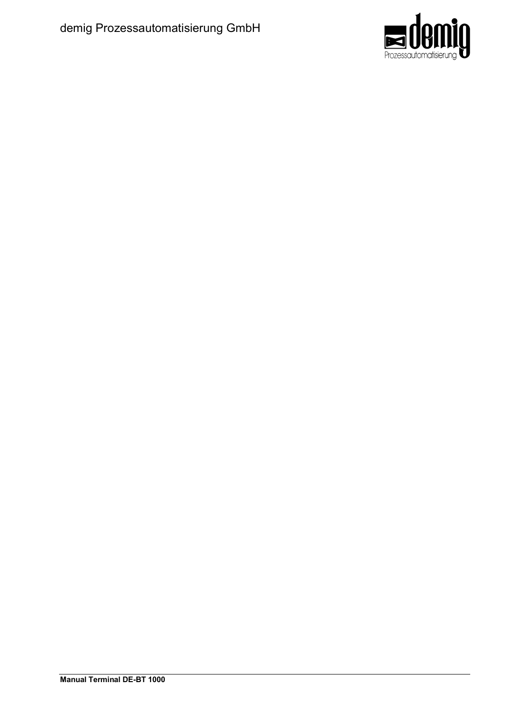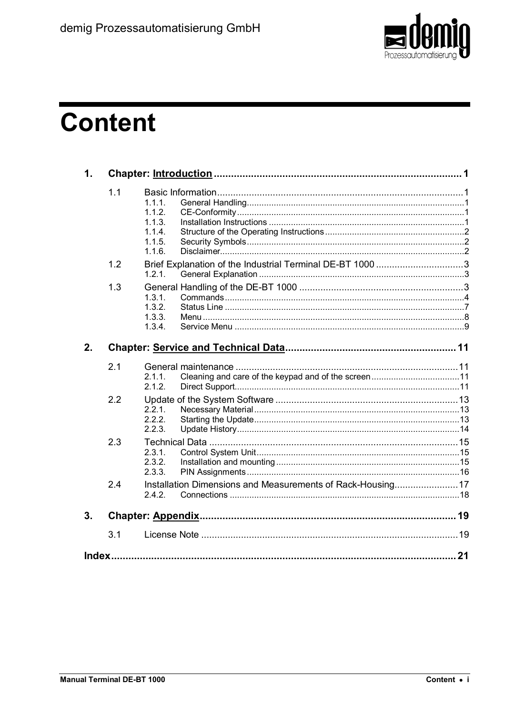

# **Content**

| 1.     |     |                                                                         |  |  |
|--------|-----|-------------------------------------------------------------------------|--|--|
|        | 1.1 | 1.1.1.<br>1.1.2.<br>1.1.3.<br>1.1.4.<br>1.1.5.<br>1.1.6.                |  |  |
|        | 1.2 | Brief Explanation of the Industrial Terminal DE-BT 1000 3<br>1.2.1.     |  |  |
|        | 1.3 | 1.3.1.<br>1.3.2.<br>1.3.3.<br>1.3.4.                                    |  |  |
| 2.     |     |                                                                         |  |  |
|        | 2.1 | Cleaning and care of the keypad and of the screen11<br>2.1.1.<br>2.1.2. |  |  |
|        | 2.2 | 2.2.1.<br>2.2.2.<br>2.2.3.                                              |  |  |
|        | 2.3 | 2.3.1.<br>2.3.2.<br>2.3.3.                                              |  |  |
|        | 2.4 | Installation Dimensions and Measurements of Rack-Housing17<br>2.4.2.    |  |  |
| 3.     |     |                                                                         |  |  |
|        | 3.1 |                                                                         |  |  |
| Index. |     |                                                                         |  |  |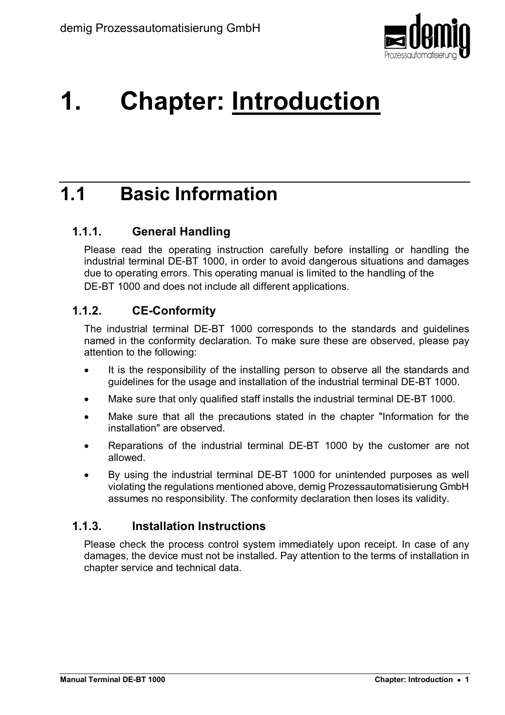

# **1. Chapter: Introduction**

# **1.1 Basic Information**

### **1.1.1. General Handling**

Please read the operating instruction carefully before installing or handling the industrial terminal DE-BT 1000, in order to avoid dangerous situations and damages due to operating errors. This operating manual is limited to the handling of the DE-BT 1000 and does not include all different applications.

### **1.1.2. CE-Conformity**

The industrial terminal DE-BT 1000 corresponds to the standards and guidelines named in the conformity declaration. To make sure these are observed, please pay attention to the following:

- It is the responsibility of the installing person to observe all the standards and guidelines for the usage and installation of the industrial terminal DE-BT 1000.
- Make sure that only qualified staff installs the industrial terminal DE-BT 1000.
- Make sure that all the precautions stated in the chapter "Information for the installation" are observed.
- Reparations of the industrial terminal DE-BT 1000 by the customer are not allowed.
- By using the industrial terminal DE-BT 1000 for unintended purposes as well violating the regulations mentioned above, demig Prozessautomatisierung GmbH assumes no responsibility. The conformity declaration then loses its validity.

### **1.1.3. Installation Instructions**

Please check the process control system immediately upon receipt. In case of any damages, the device must not be installed. Pay attention to the terms of installation in chapter service and technical data.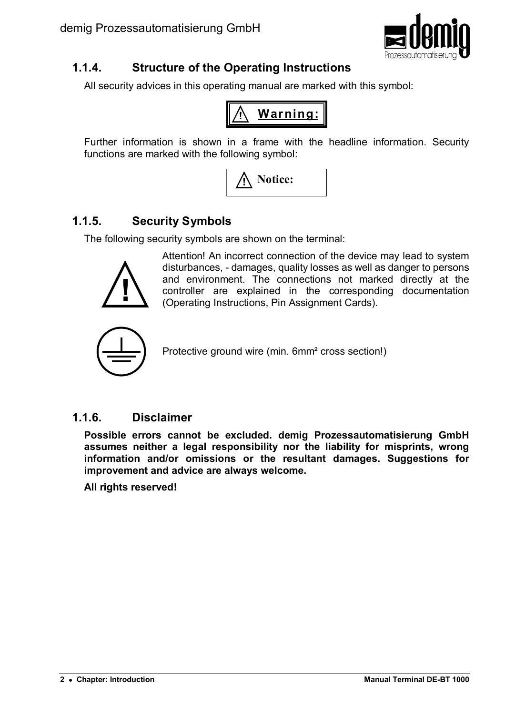

# **1.1.4. Structure of the Operating Instructions**

All security advices in this operating manual are marked with this symbol:



Further information is shown in a frame with the headline information. Security functions are marked with the following symbol:



### **1.1.5. Security Symbols**

The following security symbols are shown on the terminal:



Attention! An incorrect connection of the device may lead to system disturbances, - damages, quality losses as well as danger to persons and environment. The connections not marked directly at the controller are explained in the corresponding documentation (Operating Instructions, Pin Assignment Cards).



Protective ground wire (min. 6mm² cross section!)

### **1.1.6. Disclaimer**

**Possible errors cannot be excluded. demig Prozessautomatisierung GmbH assumes neither a legal responsibility nor the liability for misprints, wrong information and/or omissions or the resultant damages. Suggestions for improvement and advice are always welcome.** 

**All rights reserved!**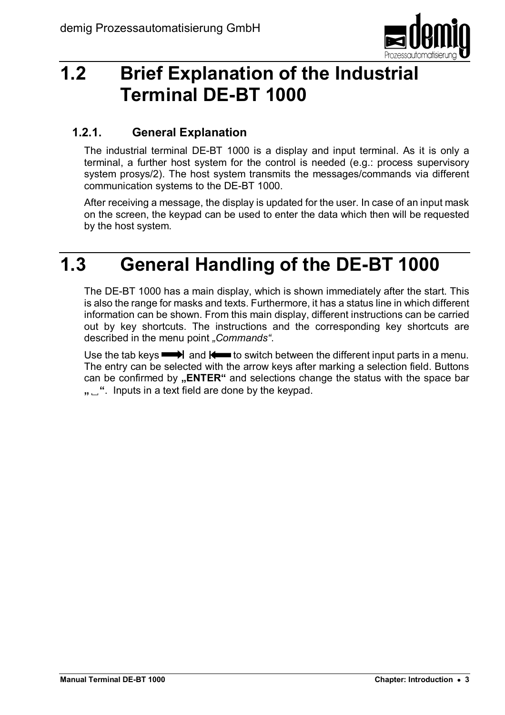

# **1.2 Brief Explanation of the Industrial Terminal DE-BT 1000**

## **1.2.1. General Explanation**

The industrial terminal DE-BT 1000 is a display and input terminal. As it is only a terminal, a further host system for the control is needed (e.g.: process supervisory system prosys/2). The host system transmits the messages/commands via different communication systems to the DE-BT 1000.

After receiving a message, the display is updated for the user. In case of an input mask on the screen, the keypad can be used to enter the data which then will be requested by the host system.

# **1.3 General Handling of the DE-BT 1000**

The DE-BT 1000 has a main display, which is shown immediately after the start. This is also the range for masks and texts. Furthermore, it has a status line in which different information can be shown. From this main display, different instructions can be carried out by key shortcuts. The instructions and the corresponding key shortcuts are described in the menu point *"Commands"*.

Use the tab keys  $\rightarrow$  and  $\rightarrow$  to switch between the different input parts in a menu. The entry can be selected with the arrow keys after marking a selection field. Buttons can be confirmed by "**ENTER**" and selections change the status with the space bar **""**. Inputs in a text field are done by the keypad.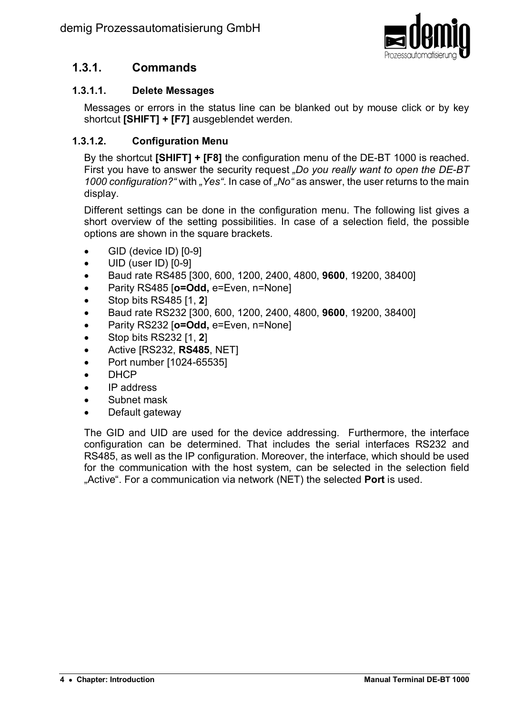

## **1.3.1. Commands**

### **1.3.1.1. Delete Messages**

Messages or errors in the status line can be blanked out by mouse click or by key shortcut **[SHIFT] + [F7]** ausgeblendet werden.

### **1.3.1.2. Configuration Menu**

By the shortcut **[SHIFT] + [F8]** the configuration menu of the DE-BT 1000 is reached. First you have to answer the security request *"Do you really want to open the DE-BT 1000 configuration?"* with *"Yes"*. In case of *"No"* as answer, the user returns to the main display.

Different settings can be done in the configuration menu. The following list gives a short overview of the setting possibilities. In case of a selection field, the possible options are shown in the square brackets.

- GID (device ID) [0-9]
- UID (user ID) [0-9]
- Baud rate RS485 [300, 600, 1200, 2400, 4800, **9600**, 19200, 38400]
- Parity RS485 [**o=Odd,** e=Even, n=None]
- Stop bits RS485 [1, **2**]
- Baud rate RS232 [300, 600, 1200, 2400, 4800, **9600**, 19200, 38400]
- Parity RS232 [**o=Odd,** e=Even, n=None]
- Stop bits RS232 [1, **2**]
- Active [RS232, **RS485**, NET]
- Port number [1024-65535]
- DHCP
- IP address
- Subnet mask
- Default gateway

The GID and UID are used for the device addressing. Furthermore, the interface configuration can be determined. That includes the serial interfaces RS232 and RS485, as well as the IP configuration. Moreover, the interface, which should be used for the communication with the host system, can be selected in the selection field "Active". For a communication via network (NET) the selected **Port** is used.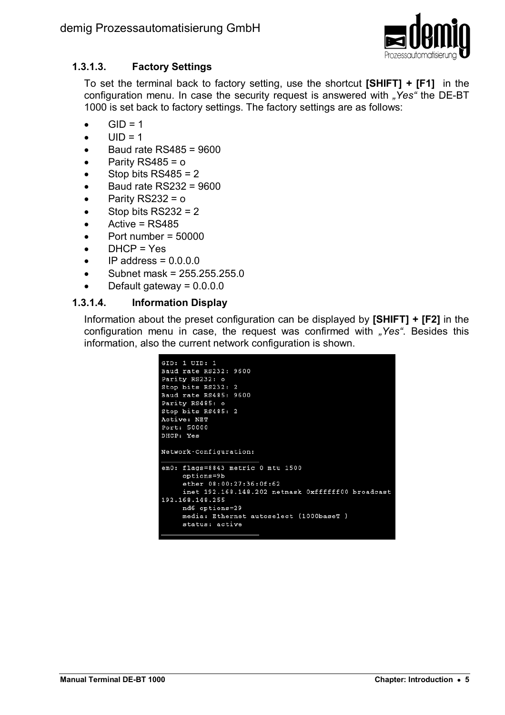

### **1.3.1.3. Factory Settings**

To set the terminal back to factory setting, use the shortcut **[SHIFT] + [F1]** in the configuration menu. In case the security request is answered with *"Yes"* the DE-BT 1000 is set back to factory settings. The factory settings are as follows:

- $GID = 1$
- $\bullet$  UID = 1
- Baud rate RS485 = 9600
- Parity  $RS485 = o$
- Stop bits  $RS485 = 2$
- Baud rate RS232 = 9600
- Parity  $RS232 = o$
- Stop bits  $RS232 = 2$
- $Active = RS485$
- Port number = 50000
- $DHCP = Yes$
- $IP$  address =  $0.0.0.0$
- Subnet mask = 255.255.255.0
- Default gateway =  $0.0.0.0$

### **1.3.1.4. Information Display**

Information about the preset configuration can be displayed by **[SHIFT] + [F2]** in the configuration menu in case, the request was confirmed with *"Yes"*. Besides this information, also the current network configuration is shown.

```
GID: 1 UID: 1
Baud rate RS232: 9600
Parity RS232: o
Stop bits RS232: 2
Baud rate RS485: 9600
Parity RS485: o
Stop bits RS485: 2
Active: NET
Port: 50000
DHCP: Yes
Network-Configuration:
em0: flags=8843 metric 0 mtu 1500
     options=9b
     ether 08:00:27:36:0f:62
     inet 192.168.148.202 netmask 0xffffff00 broadcast
192.168.148.255
     nd6 options=29
     media: Ethernet autoselect (1000baseT)
     status: active
                                                          \mathbf{I}
```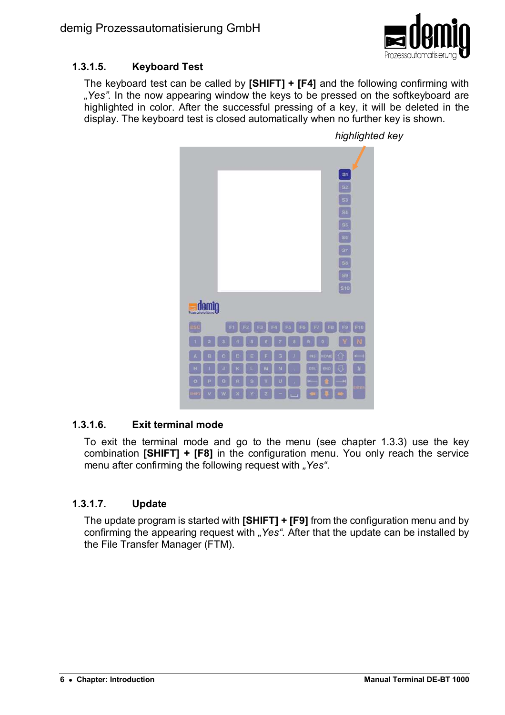

### **1.3.1.5. Keyboard Test**

The keyboard test can be called by **[SHIFT] + [F4]** and the following confirming with *"Yes".* In the now appearing window the keys to be pressed on the softkeyboard are highlighted in color. After the successful pressing of a key, it will be deleted in the display. The keyboard test is closed automatically when no further key is shown.



### **1.3.1.6. Exit terminal mode**

To exit the terminal mode and go to the menu (see chapter 1.3.3) use the key combination **[SHIFT] + [F8]** in the configuration menu. You only reach the service menu after confirming the following request with "Yes".

### **1.3.1.7. Update**

The update program is started with **[SHIFT] + [F9]** from the configuration menu and by confirming the appearing request with "Yes". After that the update can be installed by the File Transfer Manager (FTM).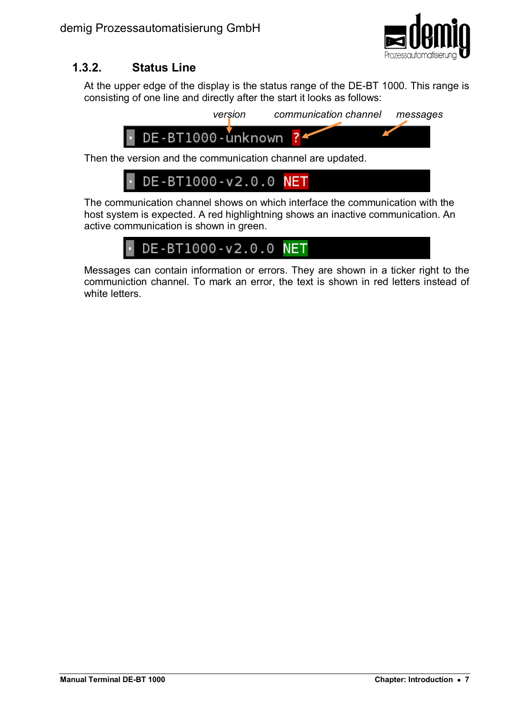

# **1.3.2. Status Line**

At the upper edge of the display is the status range of the DE-BT 1000. This range is consisting of one line and directly after the start it looks as follows:



Then the version and the communication channel are updated.

# DE-BT1000-v2.0.0 NET

The communication channel shows on which interface the communication with the host system is expected. A red highlightning shows an inactive communication. An active communication is shown in green.

$$
\blacksquare
$$
 DE - BT1000 - v2.0.0 **NET**

Messages can contain information or errors. They are shown in a ticker right to the communiction channel. To mark an error, the text is shown in red letters instead of white letters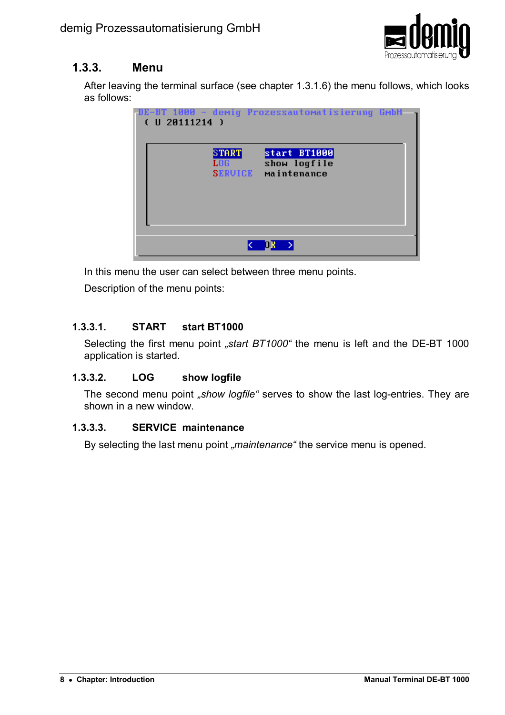

## **1.3.3. Menu**

After leaving the terminal surface (see chapter 1.3.1.6) the menu follows, which looks as follows:

| (U 20111214) | -DE-BT 1000 - demig Prozessautomatisierung GmbH                                        |
|--------------|----------------------------------------------------------------------------------------|
|              | <b>START</b><br>start BT1000<br>show logfile<br>$_{\rm{LOG}}$ .<br>SERVICE maintenance |
|              |                                                                                        |

In this menu the user can select between three menu points.

Description of the menu points:

### **1.3.3.1. START start BT1000**

Selecting the first menu point "start BT1000" the menu is left and the DE-BT 1000 application is started.

#### **1.3.3.2. LOG show logfile**

The second menu point *"show logfile"* serves to show the last log-entries. They are shown in a new window.

#### **1.3.3.3. SERVICE maintenance**

By selecting the last menu point "maintenance" the service menu is opened.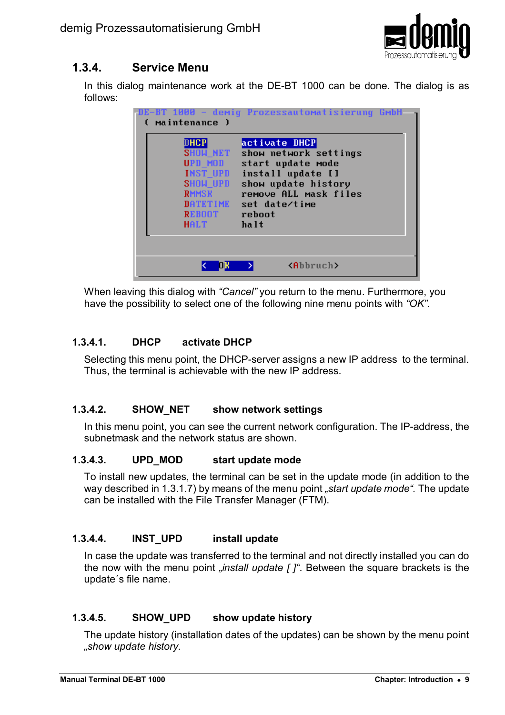

# **1.3.4. Service Menu**

In this dialog maintenance work at the DE-BT 1000 can be done. The dialog is as follows:

| ( Maintenance ) | DE-BT 1000 - demig Prozessautomatisierung GmbH |
|-----------------|------------------------------------------------|
| <b>DHCP</b>     | activate DHCP                                  |
| <b>SHOW NET</b> | show network settings                          |
| UPD_MOD         | start update mode                              |
| <b>INST_UPD</b> | install update []                              |
| SHOW UPD        | show update history                            |
| <b>RMMSK</b>    | remove ALL mask files                          |
| <b>DATETIME</b> | set date/time                                  |
| <b>REBOOT</b>   | reboot                                         |
| <b>HALT</b>     | halt                                           |
|                 | $\langle$ Abbruch $\rangle$                    |

When leaving this dialog with *"Cancel"* you return to the menu. Furthermore, you have the possibility to select one of the following nine menu points with *"OK"*.

### **1.3.4.1. DHCP activate DHCP**

Selecting this menu point, the DHCP-server assigns a new IP address to the terminal. Thus, the terminal is achievable with the new IP address.

### **1.3.4.2. SHOW\_NET show network settings**

In this menu point, you can see the current network configuration. The IP-address, the subnetmask and the network status are shown.

### **1.3.4.3. UPD\_MOD start update mode**

To install new updates, the terminal can be set in the update mode (in addition to the way described in 1.3.1.7) by means of the menu point *"start update mode".* The update can be installed with the File Transfer Manager (FTM).

### **1.3.4.4. INST\_UPD install update**

In case the update was transferred to the terminal and not directly installed you can do the now with the menu point *"install update [ ]"*. Between the square brackets is the update´s file name.

#### **1.3.4.5. SHOW\_UPD show update history**

The update history (installation dates of the updates) can be shown by the menu point *"show update history.*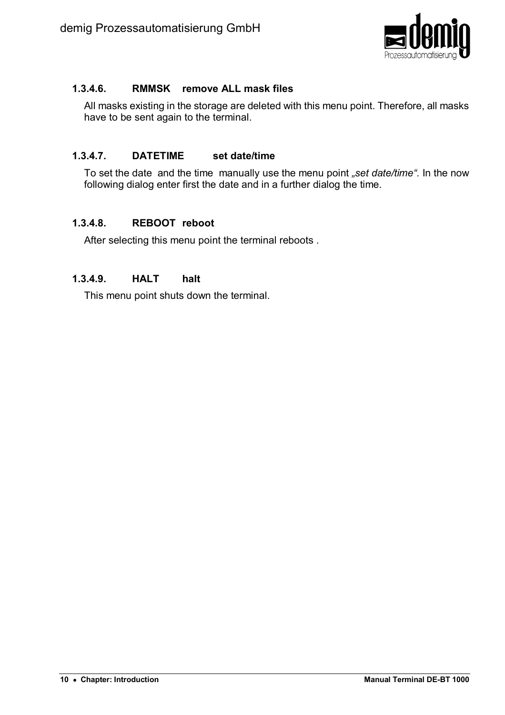

### **1.3.4.6. RMMSK remove ALL mask files**

All masks existing in the storage are deleted with this menu point. Therefore, all masks have to be sent again to the terminal.

### **1.3.4.7. DATETIME set date/time**

To set the date and the time manually use the menu point *"set date/time".* In the now following dialog enter first the date and in a further dialog the time.

### **1.3.4.8. REBOOT reboot**

After selecting this menu point the terminal reboots .

#### **1.3.4.9. HALT halt**

This menu point shuts down the terminal.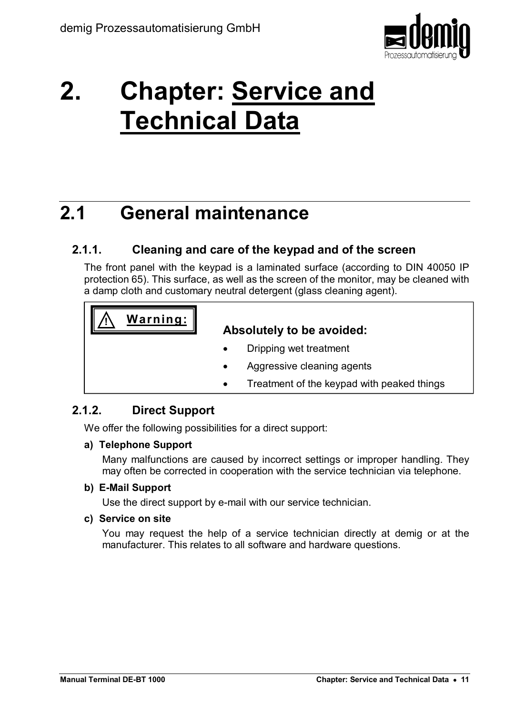

# **2. Chapter: Service and Technical Data**

# **2.1 General maintenance**

# **2.1.1. Cleaning and care of the keypad and of the screen**

The front panel with the keypad is a laminated surface (according to DIN 40050 IP protection 65). This surface, as well as the screen of the monitor, may be cleaned with a damp cloth and customary neutral detergent (glass cleaning agent).



# **2.1.2. Direct Support**

We offer the following possibilities for a direct support:

### **a) Telephone Support**

Many malfunctions are caused by incorrect settings or improper handling. They may often be corrected in cooperation with the service technician via telephone.

### **b) E-Mail Support**

Use the direct support by e-mail with our service technician.

#### **c) Service on site**

You may request the help of a service technician directly at demig or at the manufacturer. This relates to all software and hardware questions.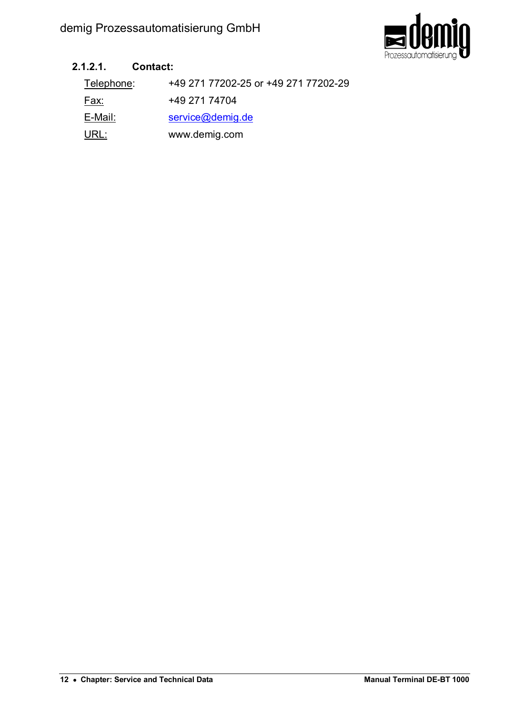

### **2.1.2.1. Contact:**

| Telephone: | +49 271 77202-25 or +49 271 77202-29 |
|------------|--------------------------------------|
| Fax:       | +49 271 74704                        |
| E-Mail:    | service@demig.de                     |
| URL:       | www.demig.com                        |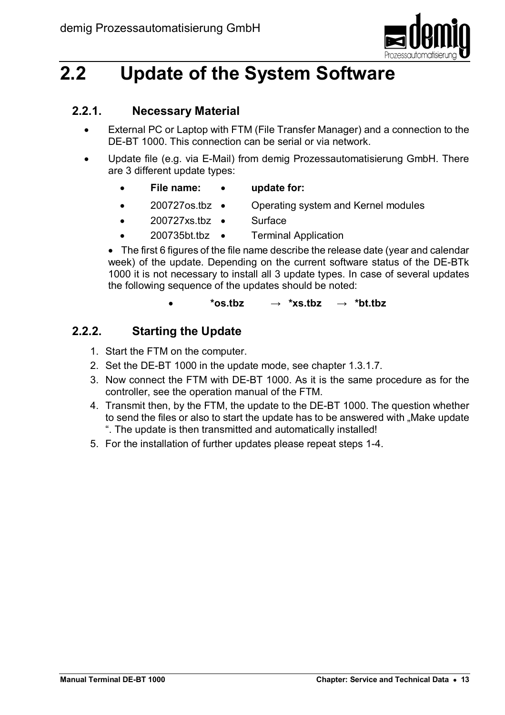

# **2.2 Update of the System Software**

### **2.2.1. Necessary Material**

- External PC or Laptop with FTM (File Transfer Manager) and a connection to the DE-BT 1000. This connection can be serial or via network.
- Update file (e.g. via E-Mail) from demig Prozessautomatisierung GmbH. There are 3 different update types:
	- **File name: update for:**
	- 200727os.tbz Operating system and Kernel modules
	- 200727xs.tbz Surface
		- 200735bt.tbz Terminal Application

• The first 6 figures of the file name describe the release date (year and calendar week) of the update. Depending on the current software status of the DE-BTk 1000 it is not necessary to install all 3 update types. In case of several updates the following sequence of the updates should be noted:

### $*$ os.tbz  $\rightarrow$   $*$ xs.tbz  $\rightarrow$   $*$ bt.tbz

## **2.2.2. Starting the Update**

- 1. Start the FTM on the computer.
- 2. Set the DE-BT 1000 in the update mode, see chapter 1.3.1.7.
- 3. Now connect the FTM with DE-BT 1000. As it is the same procedure as for the controller, see the operation manual of the FTM.
- 4. Transmit then, by the FTM, the update to the DE-BT 1000. The question whether to send the files or also to start the update has to be answered with "Make update ". The update is then transmitted and automatically installed!
- 5. For the installation of further updates please repeat steps 1-4.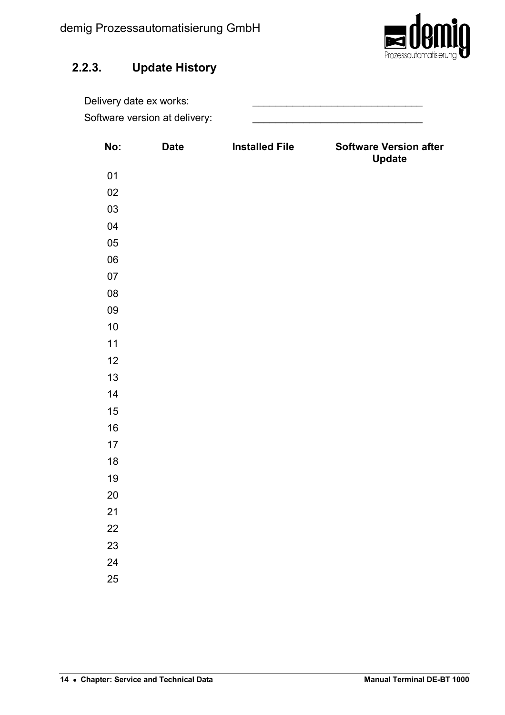

# **2.2.3. Update History**

Delivery date ex works:

Software version at delivery:

| No:        | <b>Date</b> | <b>Installed File</b> | <b>Software Version after</b><br><b>Update</b> |
|------------|-------------|-----------------------|------------------------------------------------|
| 01         |             |                       |                                                |
| $02\,$     |             |                       |                                                |
| $03\,$     |             |                       |                                                |
| $04\,$     |             |                       |                                                |
| $05\,$     |             |                       |                                                |
| ${\bf 06}$ |             |                       |                                                |
| $07\,$     |             |                       |                                                |
| ${\bf 08}$ |             |                       |                                                |
| $09\,$     |             |                       |                                                |
| $10$       |             |                       |                                                |
| $11$       |             |                       |                                                |
| 12         |             |                       |                                                |
| 13         |             |                       |                                                |
| 14         |             |                       |                                                |
| 15         |             |                       |                                                |
| 16         |             |                       |                                                |
| $17$       |             |                       |                                                |
| $18$       |             |                       |                                                |
| 19         |             |                       |                                                |
| $20\,$     |             |                       |                                                |
| 21         |             |                       |                                                |
| 22         |             |                       |                                                |
| 23         |             |                       |                                                |
| 24         |             |                       |                                                |
| 25         |             |                       |                                                |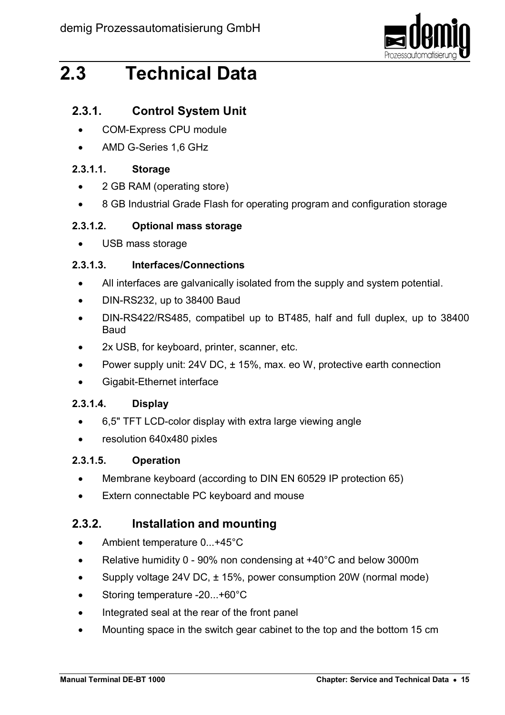

# **2.3 Technical Data**

# **2.3.1. Control System Unit**

- COM-Express CPU module
- AMD G-Series 1,6 GHz

### **2.3.1.1. Storage**

- 2 GB RAM (operating store)
- 8 GB Industrial Grade Flash for operating program and configuration storage

### **2.3.1.2. Optional mass storage**

• USB mass storage

### **2.3.1.3. Interfaces/Connections**

- All interfaces are galvanically isolated from the supply and system potential.
- DIN-RS232, up to 38400 Baud
- DIN-RS422/RS485, compatibel up to BT485, half and full duplex, up to 38400 Baud
- 2x USB, for keyboard, printer, scanner, etc.
- Power supply unit: 24V DC, ± 15%, max. eo W, protective earth connection
- Gigabit-Ethernet interface

### **2.3.1.4. Display**

- 6,5" TFT LCD-color display with extra large viewing angle
- resolution 640x480 pixles

### **2.3.1.5. Operation**

- Membrane keyboard (according to DIN EN 60529 IP protection 65)
- Extern connectable PC keyboard and mouse

### **2.3.2. Installation and mounting**

- Ambient temperature 0...+45°C
- Relative humidity 0 90% non condensing at +40°C and below 3000m
- Supply voltage 24V DC, ± 15%, power consumption 20W (normal mode)
- Storing temperature -20...+60°C
- Integrated seal at the rear of the front panel
- Mounting space in the switch gear cabinet to the top and the bottom 15 cm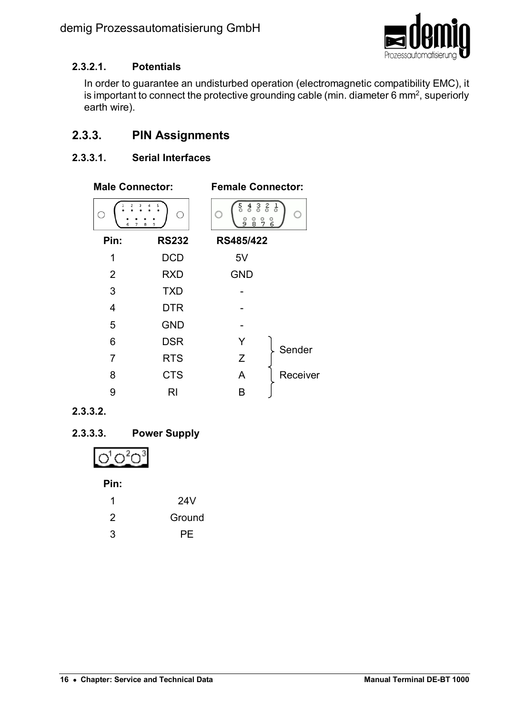

### **2.3.2.1. Potentials**

In order to guarantee an undisturbed operation (electromagnetic compatibility EMC), it is important to connect the protective grounding cable (min. diameter 6 mm<sup>2</sup>, superiorly earth wire).

# **2.3.3. PIN Assignments**

### **2.3.3.1. Serial Interfaces**

**Male Connector: Female Connector:** 

| 2<br>6<br>$\overline{7}$ | 3<br>$\sqrt{4}$<br>5<br>С<br>8<br>9 | 5432<br>9898 | 낭        |
|--------------------------|-------------------------------------|--------------|----------|
| Pin:                     | <b>RS232</b>                        | RS485/422    |          |
| 1                        | <b>DCD</b>                          | 5V           |          |
| $\overline{2}$           | <b>RXD</b>                          | <b>GND</b>   |          |
| 3                        | <b>TXD</b>                          |              |          |
| $\overline{4}$           | <b>DTR</b>                          |              |          |
| 5                        | <b>GND</b>                          |              |          |
| 6                        | <b>DSR</b>                          | Y            | Sender   |
| $\overline{7}$           | <b>RTS</b>                          | Z            |          |
| 8                        | <b>CTS</b>                          | A            | Receiver |
| 9                        | RI                                  | B            |          |

### **2.3.3.2.**

### **2.3.3.3. Power Supply**



| г ш. |        |
|------|--------|
| 1    | 24V    |
| 2    | Ground |
| 3    | PЕ     |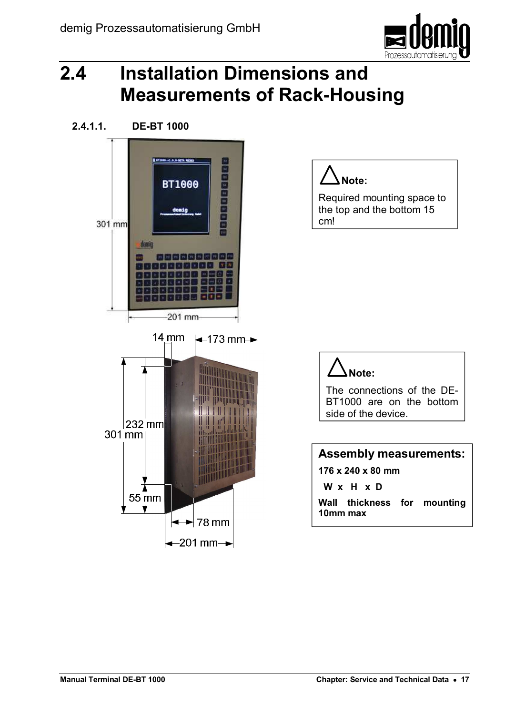

# **2.4 Installation Dimensions and Measurements of Rack-Housing**

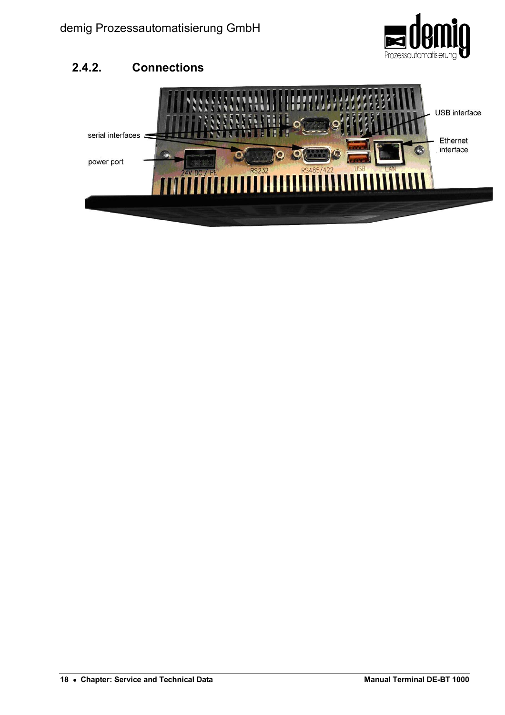

# **2.4.2. Connections**

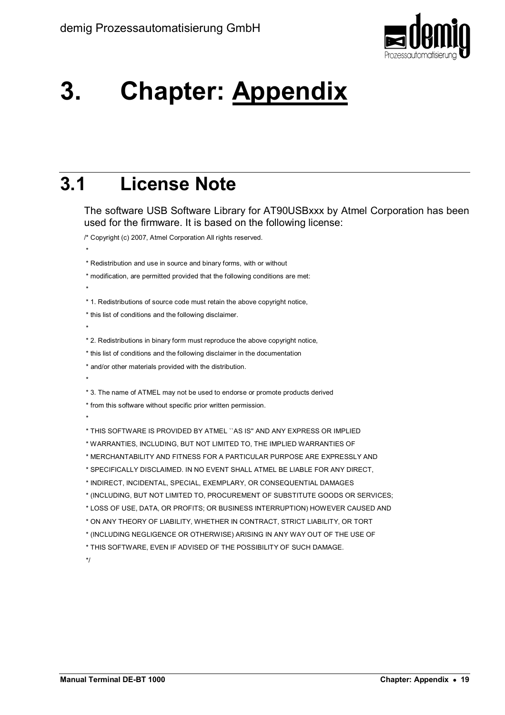

# **3. Chapter: Appendix**

# **3.1 License Note**

The software USB Software Library for AT90USBxxx by Atmel Corporation has been used for the firmware. It is based on the following license:

/\* Copyright (c) 2007, Atmel Corporation All rights reserved.

\* Redistribution and use in source and binary forms, with or without

\* modification, are permitted provided that the following conditions are met:

 \* \* 1. Redistributions of source code must retain the above copyright notice,

\* this list of conditions and the following disclaimer.

\* 2. Redistributions in binary form must reproduce the above copyright notice,

\* this list of conditions and the following disclaimer in the documentation

\* and/or other materials provided with the distribution.

\* 3. The name of ATMEL may not be used to endorse or promote products derived

\* from this software without specific prior written permission.

\*

\*

\*

\*

\* THIS SOFTWARE IS PROVIDED BY ATMEL ``AS IS'' AND ANY EXPRESS OR IMPLIED

\* WARRANTIES, INCLUDING, BUT NOT LIMITED TO, THE IMPLIED WARRANTIES OF

\* MERCHANTABILITY AND FITNESS FOR A PARTICULAR PURPOSE ARE EXPRESSLY AND

\* SPECIFICALLY DISCLAIMED. IN NO EVENT SHALL ATMEL BE LIABLE FOR ANY DIRECT,

\* INDIRECT, INCIDENTAL, SPECIAL, EXEMPLARY, OR CONSEQUENTIAL DAMAGES

\* (INCLUDING, BUT NOT LIMITED TO, PROCUREMENT OF SUBSTITUTE GOODS OR SERVICES;

\* LOSS OF USE, DATA, OR PROFITS; OR BUSINESS INTERRUPTION) HOWEVER CAUSED AND

\* ON ANY THEORY OF LIABILITY, WHETHER IN CONTRACT, STRICT LIABILITY, OR TORT

\* (INCLUDING NEGLIGENCE OR OTHERWISE) ARISING IN ANY WAY OUT OF THE USE OF

\* THIS SOFTWARE, EVEN IF ADVISED OF THE POSSIBILITY OF SUCH DAMAGE.

\*/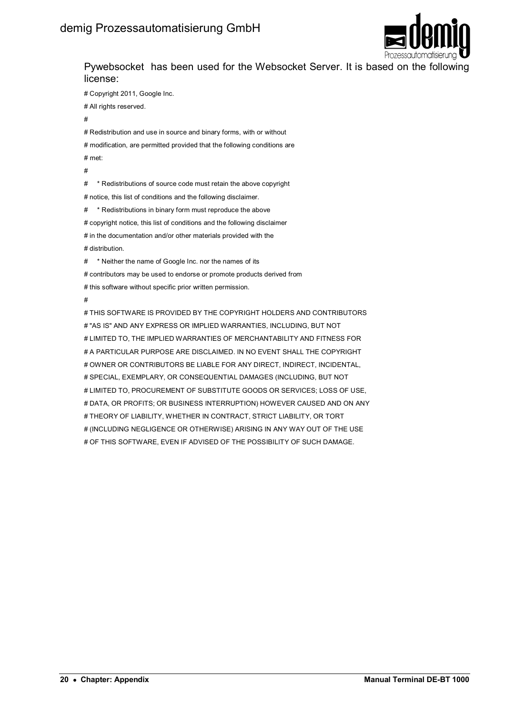

Pywebsocket has been used for the Websocket Server. It is based on the following license:

# Copyright 2011, Google Inc.

# All rights reserved.

#

# Redistribution and use in source and binary forms, with or without # modification, are permitted provided that the following conditions are # met:

#

# \* Redistributions of source code must retain the above copyright

# notice, this list of conditions and the following disclaimer.

# \* Redistributions in binary form must reproduce the above

# copyright notice, this list of conditions and the following disclaimer

# in the documentation and/or other materials provided with the # distribution.

# \* Neither the name of Google Inc. nor the names of its

# contributors may be used to endorse or promote products derived from

# this software without specific prior written permission.

#

# THIS SOFTWARE IS PROVIDED BY THE COPYRIGHT HOLDERS AND CONTRIBUTORS # "AS IS" AND ANY EXPRESS OR IMPLIED WARRANTIES, INCLUDING, BUT NOT # LIMITED TO, THE IMPLIED WARRANTIES OF MERCHANTABILITY AND FITNESS FOR # A PARTICULAR PURPOSE ARE DISCLAIMED. IN NO EVENT SHALL THE COPYRIGHT # OWNER OR CONTRIBUTORS BE LIABLE FOR ANY DIRECT, INDIRECT, INCIDENTAL, # SPECIAL, EXEMPLARY, OR CONSEQUENTIAL DAMAGES (INCLUDING, BUT NOT # LIMITED TO, PROCUREMENT OF SUBSTITUTE GOODS OR SERVICES; LOSS OF USE, # DATA, OR PROFITS; OR BUSINESS INTERRUPTION) HOWEVER CAUSED AND ON ANY # THEORY OF LIABILITY, WHETHER IN CONTRACT, STRICT LIABILITY, OR TORT # (INCLUDING NEGLIGENCE OR OTHERWISE) ARISING IN ANY WAY OUT OF THE USE # OF THIS SOFTWARE, EVEN IF ADVISED OF THE POSSIBILITY OF SUCH DAMAGE.